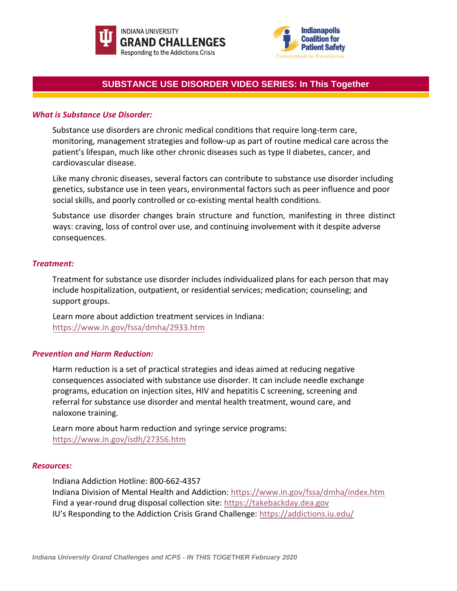



# **SUBSTANCE USE DISORDER VIDEO SERIES: In This Together**

### *What is Substance Use Disorder:*

Substance use disorders are chronic medical conditions that require long-term care, monitoring, management strategies and follow-up as part of routine medical care across the patient's lifespan, much like other chronic diseases such as type II diabetes, cancer, and cardiovascular disease.

Like many chronic diseases, several factors can contribute to substance use disorder including genetics, substance use in teen years, environmental factors such as peer influence and poor social skills, and poorly controlled or co-existing mental health conditions.

Substance use disorder changes brain structure and function, manifesting in three distinct ways: craving, loss of control over use, and continuing involvement with it despite adverse consequences.

### *Treatment:*

Treatment for substance use disorder includes individualized plans for each person that may include hospitalization, outpatient, or residential services; medication; counseling; and support groups.

Learn more about addiction treatment services in Indiana: <https://www.in.gov/fssa/dmha/2933.htm>

## *Prevention and Harm Reduction:*

Harm reduction is a set of practical strategies and ideas aimed at reducing negative consequences associated with substance use disorder. It can include needle exchange programs, education on injection sites, HIV and hepatitis C screening, screening and referral for substance use disorder and mental health treatment, wound care, and naloxone training.

Learn more about harm reduction and syringe service programs: <https://www.in.gov/isdh/27356.htm>

#### *Resources:*

Indiana Addiction Hotline: 800-662-4357

Indiana Division of Mental Health and Addiction:<https://www.in.gov/fssa/dmha/index.htm> Find a year-round drug disposal collection site: [https://takebackday.dea.gov](https://takebackday.dea.gov/) IU's Responding to the Addiction Crisis Grand Challenge: <https://addictions.iu.edu/>